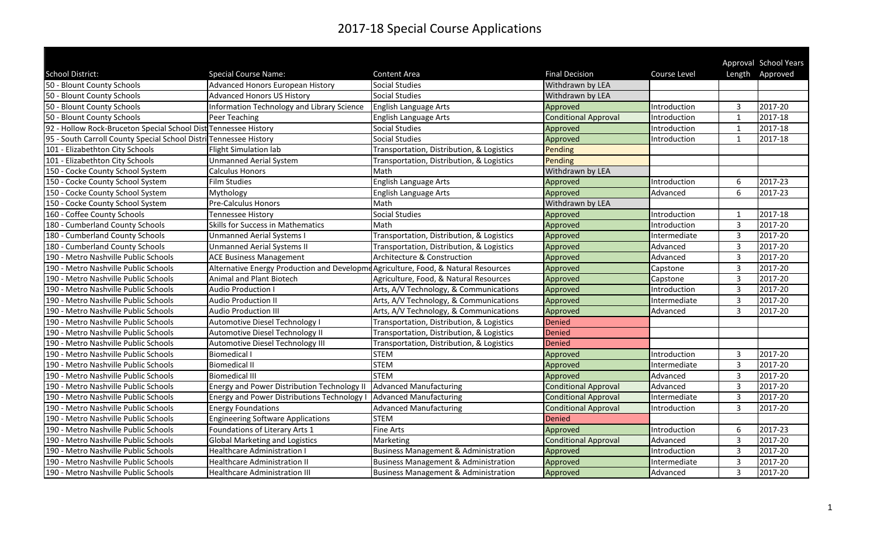|                                                                   |                                                                                    |                                                 |                             |              |                | Approval School Years |
|-------------------------------------------------------------------|------------------------------------------------------------------------------------|-------------------------------------------------|-----------------------------|--------------|----------------|-----------------------|
| School District:                                                  | <b>Special Course Name:</b>                                                        | <b>Content Area</b>                             | <b>Final Decision</b>       | Course Level |                | Length Approved       |
| 50 - Blount County Schools                                        | <b>Advanced Honors European History</b>                                            | <b>Social Studies</b>                           | Withdrawn by LEA            |              |                |                       |
| 50 - Blount County Schools                                        | <b>Advanced Honors US History</b>                                                  | Social Studies                                  | Withdrawn by LEA            |              |                |                       |
| 50 - Blount County Schools                                        | Information Technology and Library Science                                         | English Language Arts                           | Approved                    | Introduction | 3              | 2017-20               |
| 50 - Blount County Schools                                        | Peer Teaching                                                                      | English Language Arts                           | <b>Conditional Approval</b> | Introduction | $\mathbf{1}$   | 2017-18               |
| 92 - Hollow Rock-Bruceton Special School Dist Tennessee History   |                                                                                    | <b>Social Studies</b>                           | Approved                    | Introduction | $\mathbf{1}$   | 2017-18               |
| 95 - South Carroll County Special School Distri Tennessee History |                                                                                    | <b>Social Studies</b>                           | Approved                    | Introduction | 1              | 2017-18               |
| 101 - Elizabethton City Schools                                   | <b>Flight Simulation lab</b>                                                       | Transportation, Distribution, & Logistics       | Pending                     |              |                |                       |
| 101 - Elizabethton City Schools                                   | <b>Unmanned Aerial System</b>                                                      | Transportation, Distribution, & Logistics       | Pending                     |              |                |                       |
| 150 - Cocke County School System                                  | <b>Calculus Honors</b>                                                             | Math                                            | Withdrawn by LEA            |              |                |                       |
| 150 - Cocke County School System                                  | <b>Film Studies</b>                                                                | English Language Arts                           | Approved                    | Introduction | 6              | 2017-23               |
| 150 - Cocke County School System                                  | Mythology                                                                          | English Language Arts                           | Approved                    | Advanced     | 6              | 2017-23               |
| 150 - Cocke County School System                                  | Pre-Calculus Honors                                                                | Math                                            | Withdrawn by LEA            |              |                |                       |
| 160 - Coffee County Schools                                       | <b>Tennessee History</b>                                                           | <b>Social Studies</b>                           | Approved                    | Introduction | -1             | 2017-18               |
| 180 - Cumberland County Schools                                   | Skills for Success in Mathematics                                                  | Math                                            | Approved                    | Introduction | 3              | 2017-20               |
| 180 - Cumberland County Schools                                   | <b>Unmanned Aerial Systems I</b>                                                   | Transportation, Distribution, & Logistics       | Approved                    | Intermediate | 3              | 2017-20               |
| 180 - Cumberland County Schools                                   | <b>Unmanned Aerial Systems II</b>                                                  | Transportation, Distribution, & Logistics       | Approved                    | Advanced     | 3              | 2017-20               |
| 190 - Metro Nashville Public Schools                              | <b>ACE Business Management</b>                                                     | Architecture & Construction                     | Approved                    | Advanced     | 3              | 2017-20               |
| 190 - Metro Nashville Public Schools                              | Alternative Energy Production and Developme Agriculture, Food, & Natural Resources |                                                 | Approved                    | Capstone     | $\overline{3}$ | 2017-20               |
| 190 - Metro Nashville Public Schools                              | Animal and Plant Biotech                                                           | Agriculture, Food, & Natural Resources          | Approved                    | Capstone     | 3              | 2017-20               |
| 190 - Metro Nashville Public Schools                              | <b>Audio Production I</b>                                                          | Arts, A/V Technology, & Communications          | Approved                    | Introduction | 3              | 2017-20               |
| 190 - Metro Nashville Public Schools                              | <b>Audio Production II</b>                                                         | Arts, A/V Technology, & Communications          | Approved                    | Intermediate | $\overline{3}$ | 2017-20               |
| 190 - Metro Nashville Public Schools                              | <b>Audio Production III</b>                                                        | Arts, A/V Technology, & Communications          | Approved                    | Advanced     | $\overline{3}$ | 2017-20               |
| 190 - Metro Nashville Public Schools                              | Automotive Diesel Technology I                                                     | Transportation, Distribution, & Logistics       | <b>Denied</b>               |              |                |                       |
| 190 - Metro Nashville Public Schools                              | Automotive Diesel Technology II                                                    | Transportation, Distribution, & Logistics       | <b>Denied</b>               |              |                |                       |
| 190 - Metro Nashville Public Schools                              | Automotive Diesel Technology III                                                   | Transportation, Distribution, & Logistics       | Denied                      |              |                |                       |
| 190 - Metro Nashville Public Schools                              | <b>Biomedical I</b>                                                                | <b>STEM</b>                                     | Approved                    | Introduction | 3              | 2017-20               |
| 190 - Metro Nashville Public Schools                              | <b>Biomedical II</b>                                                               | <b>STEM</b>                                     | Approved                    | Intermediate | 3              | 2017-20               |
| 190 - Metro Nashville Public Schools                              | <b>Biomedical III</b>                                                              | <b>STEM</b>                                     | Approved                    | Advanced     | $\overline{3}$ | 2017-20               |
| 190 - Metro Nashville Public Schools                              | Energy and Power Distribution Technology II                                        | Advanced Manufacturing                          | <b>Conditional Approval</b> | Advanced     | $\overline{3}$ | 2017-20               |
| 190 - Metro Nashville Public Schools                              | <b>Energy and Power Distributions Technology I</b>                                 | Advanced Manufacturing                          | <b>Conditional Approval</b> | Intermediate | 3              | 2017-20               |
| 190 - Metro Nashville Public Schools                              | <b>Energy Foundations</b>                                                          | <b>Advanced Manufacturing</b>                   | <b>Conditional Approval</b> | Introduction | $\overline{3}$ | 2017-20               |
| 190 - Metro Nashville Public Schools                              | <b>Engineering Software Applications</b>                                           | <b>STEM</b>                                     | <b>Denied</b>               |              |                |                       |
| 190 - Metro Nashville Public Schools                              | Foundations of Literary Arts 1                                                     | <b>Fine Arts</b>                                | Approved                    | Introduction | 6              | 2017-23               |
| 190 - Metro Nashville Public Schools                              | <b>Global Marketing and Logistics</b>                                              | Marketing                                       | <b>Conditional Approval</b> | Advanced     | $\overline{3}$ | 2017-20               |
| 190 - Metro Nashville Public Schools                              | <b>Healthcare Administration I</b>                                                 | <b>Business Management &amp; Administration</b> | Approved                    | Introduction | 3              | 2017-20               |
| 190 - Metro Nashville Public Schools                              | <b>Healthcare Administration II</b>                                                | <b>Business Management &amp; Administration</b> | Approved                    | Intermediate | 3              | 2017-20               |
| 190 - Metro Nashville Public Schools                              | <b>Healthcare Administration III</b>                                               | <b>Business Management &amp; Administration</b> | Approved                    | Advanced     | 3              | 2017-20               |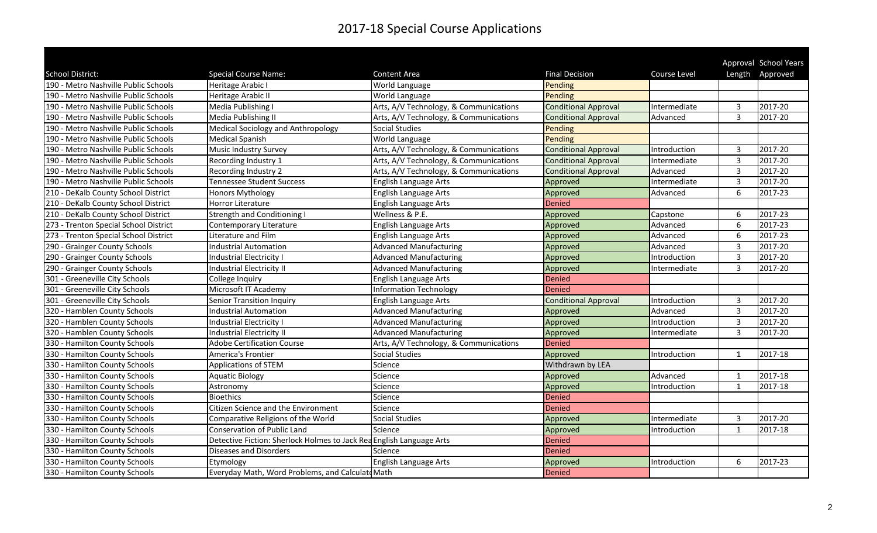|                                       |                                                                      |                                        |                             |              |                | Approval School Years |
|---------------------------------------|----------------------------------------------------------------------|----------------------------------------|-----------------------------|--------------|----------------|-----------------------|
| School District:                      | <b>Special Course Name:</b>                                          | Content Area                           | <b>Final Decision</b>       | Course Level |                | Length Approved       |
| 190 - Metro Nashville Public Schools  | Heritage Arabic I                                                    | World Language                         | Pending                     |              |                |                       |
| 190 - Metro Nashville Public Schools  | Heritage Arabic II                                                   | World Language                         | Pending                     |              |                |                       |
| 190 - Metro Nashville Public Schools  | Media Publishing I                                                   | Arts, A/V Technology, & Communications | <b>Conditional Approval</b> | Intermediate | 3              | 2017-20               |
| 190 - Metro Nashville Public Schools  | Media Publishing II                                                  | Arts, A/V Technology, & Communications | <b>Conditional Approval</b> | Advanced     | 3              | 2017-20               |
| 190 - Metro Nashville Public Schools  | Medical Sociology and Anthropology                                   | <b>Social Studies</b>                  | Pending                     |              |                |                       |
| 190 - Metro Nashville Public Schools  | <b>Medical Spanish</b>                                               | World Language                         | Pending                     |              |                |                       |
| 190 - Metro Nashville Public Schools  | Music Industry Survey                                                | Arts, A/V Technology, & Communications | <b>Conditional Approval</b> | Introduction | 3              | 2017-20               |
| 190 - Metro Nashville Public Schools  | Recording Industry 1                                                 | Arts, A/V Technology, & Communications | <b>Conditional Approval</b> | Intermediate | 3              | 2017-20               |
| 190 - Metro Nashville Public Schools  | Recording Industry 2                                                 | Arts, A/V Technology, & Communications | <b>Conditional Approval</b> | Advanced     | 3              | 2017-20               |
| 190 - Metro Nashville Public Schools  | <b>Tennessee Student Success</b>                                     | English Language Arts                  | Approved                    | Intermediate | $\overline{3}$ | 2017-20               |
| 210 - DeKalb County School District   | Honors Mythology                                                     | English Language Arts                  | Approved                    | Advanced     | 6              | 2017-23               |
| 210 - DeKalb County School District   | Horror Literature                                                    | English Language Arts                  | Denied                      |              |                |                       |
| 210 - DeKalb County School District   | <b>Strength and Conditioning I</b>                                   | Wellness & P.E.                        | Approved                    | Capstone     | 6              | 2017-23               |
| 273 - Trenton Special School District | Contemporary Literature                                              | English Language Arts                  | Approved                    | Advanced     | 6              | 2017-23               |
| 273 - Trenton Special School District | Literature and Film                                                  | English Language Arts                  | Approved                    | Advanced     | 6              | 2017-23               |
| 290 - Grainger County Schools         | <b>Industrial Automation</b>                                         | <b>Advanced Manufacturing</b>          | Approved                    | Advanced     | $\overline{3}$ | 2017-20               |
| 290 - Grainger County Schools         | Industrial Electricity I                                             | <b>Advanced Manufacturing</b>          | Approved                    | Introduction | 3              | 2017-20               |
| 290 - Grainger County Schools         | Industrial Electricity II                                            | <b>Advanced Manufacturing</b>          | Approved                    | Intermediate | $\overline{3}$ | 2017-20               |
| 301 - Greeneville City Schools        | College Inquiry                                                      | English Language Arts                  | Denied                      |              |                |                       |
| 301 - Greeneville City Schools        | Microsoft IT Academy                                                 | Information Technology                 | <b>Denied</b>               |              |                |                       |
| 301 - Greeneville City Schools        | Senior Transition Inquiry                                            | English Language Arts                  | <b>Conditional Approval</b> | Introduction | $\overline{3}$ | 2017-20               |
| 320 - Hamblen County Schools          | <b>Industrial Automation</b>                                         | <b>Advanced Manufacturing</b>          | Approved                    | Advanced     | $\overline{3}$ | 2017-20               |
| 320 - Hamblen County Schools          | Industrial Electricity I                                             | <b>Advanced Manufacturing</b>          | Approved                    | Introduction | $\overline{3}$ | 2017-20               |
| 320 - Hamblen County Schools          | <b>Industrial Electricity II</b>                                     | <b>Advanced Manufacturing</b>          | Approved                    | Intermediate | 3              | 2017-20               |
| 330 - Hamilton County Schools         | <b>Adobe Certification Course</b>                                    | Arts, A/V Technology, & Communications | Denied                      |              |                |                       |
| 330 - Hamilton County Schools         | America's Frontier                                                   | <b>Social Studies</b>                  | Approved                    | Introduction | -1             | 2017-18               |
| 330 - Hamilton County Schools         | <b>Applications of STEM</b>                                          | Science                                | Withdrawn by LEA            |              |                |                       |
| 330 - Hamilton County Schools         | <b>Aquatic Biology</b>                                               | Science                                | Approved                    | Advanced     | $\mathbf{1}$   | $2017 - 18$           |
| 330 - Hamilton County Schools         | Astronomy                                                            | Science                                | Approved                    | Introduction | $\overline{1}$ | 2017-18               |
| 330 - Hamilton County Schools         | <b>Bioethics</b>                                                     | Science                                | Denied                      |              |                |                       |
| 330 - Hamilton County Schools         | Citizen Science and the Environment                                  | Science                                | Denied                      |              |                |                       |
| 330 - Hamilton County Schools         | Comparative Religions of the World                                   | <b>Social Studies</b>                  | Approved                    | Intermediate | 3              | 2017-20               |
| 330 - Hamilton County Schools         | Conservation of Public Land                                          | Science                                | Approved                    | Introduction | $\mathbf{1}$   | 2017-18               |
| 330 - Hamilton County Schools         | Detective Fiction: Sherlock Holmes to Jack Rea English Language Arts |                                        | Denied                      |              |                |                       |
| 330 - Hamilton County Schools         | <b>Diseases and Disorders</b>                                        | Science                                | Denied                      |              |                |                       |
| 330 - Hamilton County Schools         | Etymology                                                            | English Language Arts                  | Approved                    | Introduction | 6              | 2017-23               |
| 330 - Hamilton County Schools         | Everyday Math, Word Problems, and Calculate Math                     |                                        | Denied                      |              |                |                       |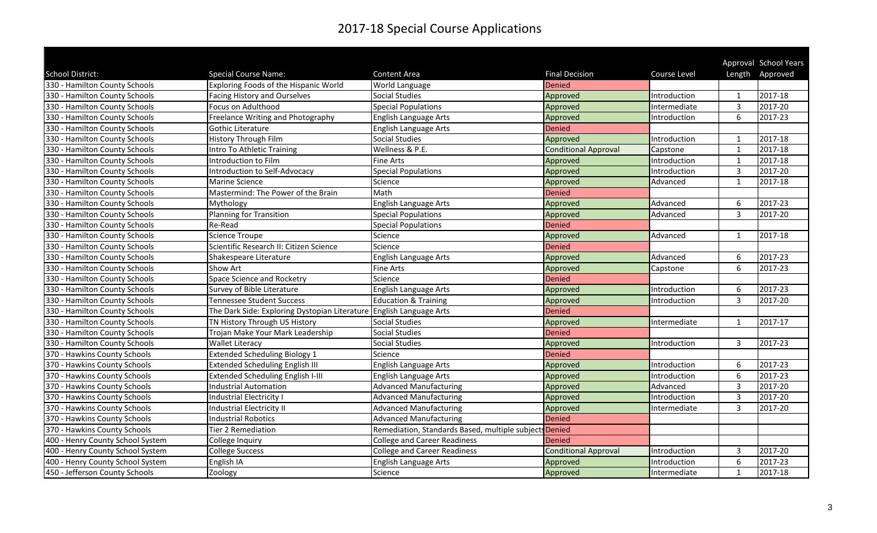|                                  |                                                                     |                                                        |                             |              |                | Approval School Years |
|----------------------------------|---------------------------------------------------------------------|--------------------------------------------------------|-----------------------------|--------------|----------------|-----------------------|
| School District:                 | <b>Special Course Name:</b>                                         | Content Area                                           | <b>Final Decision</b>       | Course Level |                | Length Approved       |
| 330 - Hamilton County Schools    | Exploring Foods of the Hispanic World                               | World Language                                         | Denied                      |              |                |                       |
| 330 - Hamilton County Schools    | <b>Facing History and Ourselves</b>                                 | <b>Social Studies</b>                                  | Approved                    | Introduction | $\mathbf{1}$   | 2017-18               |
| 330 - Hamilton County Schools    | Focus on Adulthood                                                  | <b>Special Populations</b>                             | Approved                    | Intermediate | 3              | $2017 - 20$           |
| 330 - Hamilton County Schools    | Freelance Writing and Photography                                   | English Language Arts                                  | Approved                    | Introduction | 6              | 2017-23               |
| 330 - Hamilton County Schools    | Gothic Literature                                                   | English Language Arts                                  | <b>Denied</b>               |              |                |                       |
| 330 - Hamilton County Schools    | <b>History Through Film</b>                                         | <b>Social Studies</b>                                  | Approved                    | Introduction | $\mathbf{1}$   | 2017-18               |
| 330 - Hamilton County Schools    | Intro To Athletic Training                                          | Wellness & P.E.                                        | <b>Conditional Approval</b> | Capstone     | 1              | 2017-18               |
| 330 - Hamilton County Schools    | Introduction to Film                                                | <b>Fine Arts</b>                                       | Approved                    | Introduction | $\mathbf{1}$   | 2017-18               |
| 330 - Hamilton County Schools    | Introduction to Self-Advocacy                                       | <b>Special Populations</b>                             | Approved                    | Introduction | 3              | 2017-20               |
| 330 - Hamilton County Schools    | Marine Science                                                      | Science                                                | Approved                    | Advanced     | $\mathbf{1}$   | 2017-18               |
| 330 - Hamilton County Schools    | Mastermind: The Power of the Brain                                  | Math                                                   | <b>Denied</b>               |              |                |                       |
| 330 - Hamilton County Schools    | Mythology                                                           | English Language Arts                                  | Approved                    | Advanced     | 6              | 2017-23               |
| 330 - Hamilton County Schools    | Planning for Transition                                             | <b>Special Populations</b>                             | Approved                    | Advanced     | 3              | 2017-20               |
| 330 - Hamilton County Schools    | Re-Read                                                             | <b>Special Populations</b>                             | Denied                      |              |                |                       |
| 330 - Hamilton County Schools    | <b>Science Troupe</b>                                               | Science                                                | Approved                    | Advanced     | 1              | 2017-18               |
| 330 - Hamilton County Schools    | Scientific Research II: Citizen Science                             | Science                                                | Denied                      |              |                |                       |
| 330 - Hamilton County Schools    | Shakespeare Literature                                              | <b>English Language Arts</b>                           | Approved                    | Advanced     | 6              | 2017-23               |
| 330 - Hamilton County Schools    | Show Art                                                            | <b>Fine Arts</b>                                       | Approved                    | Capstone     | 6              | 2017-23               |
| 330 - Hamilton County Schools    | Space Science and Rocketry                                          | Science                                                | <b>Denied</b>               |              |                |                       |
| 330 - Hamilton County Schools    | Survey of Bible Literature                                          | English Language Arts                                  | Approved                    | Introduction | 6              | 2017-23               |
| 330 - Hamilton County Schools    | <b>Tennessee Student Success</b>                                    | <b>Education &amp; Training</b>                        | Approved                    | Introduction | 3              | 2017-20               |
| 330 - Hamilton County Schools    | The Dark Side: Exploring Dystopian Literature English Language Arts |                                                        | <b>Denied</b>               |              |                |                       |
| 330 - Hamilton County Schools    | TN History Through US History                                       | <b>Social Studies</b>                                  | Approved                    | Intermediate | $\overline{1}$ | 2017-17               |
| 330 - Hamilton County Schools    | Trojan Make Your Mark Leadership                                    | <b>Social Studies</b>                                  | Denied                      |              |                |                       |
| 330 - Hamilton County Schools    | <b>Wallet Literacy</b>                                              | <b>Social Studies</b>                                  | Approved                    | Introduction | 3              | 2017-23               |
| 370 - Hawkins County Schools     | <b>Extended Scheduling Biology 1</b>                                | Science                                                | Denied                      |              |                |                       |
| 370 - Hawkins County Schools     | <b>Extended Scheduling English III</b>                              | English Language Arts                                  | Approved                    | Introduction | 6              | 2017-23               |
| 370 - Hawkins County Schools     | <b>Extended Scheduling English I-III</b>                            | English Language Arts                                  | Approved                    | Introduction | 6              | 2017-23               |
| 370 - Hawkins County Schools     | <b>Industrial Automation</b>                                        | <b>Advanced Manufacturing</b>                          | Approved                    | Advanced     | 3              | 2017-20               |
| 370 - Hawkins County Schools     | Industrial Electricity I                                            | <b>Advanced Manufacturing</b>                          | Approved                    | Introduction | $\overline{3}$ | 2017-20               |
| 370 - Hawkins County Schools     | Industrial Electricity II                                           | <b>Advanced Manufacturing</b>                          | Approved                    | Intermediate | 3              | 2017-20               |
| 370 - Hawkins County Schools     | <b>Industrial Robotics</b>                                          | <b>Advanced Manufacturing</b>                          | Denied                      |              |                |                       |
| 370 - Hawkins County Schools     | Tier 2 Remediation                                                  | Remediation, Standards Based, multiple subjects Denied |                             |              |                |                       |
| 400 - Henry County School System | College Inquiry                                                     | <b>College and Career Readiness</b>                    | <b>Denied</b>               |              |                |                       |
| 400 - Henry County School System | <b>College Success</b>                                              | <b>College and Career Readiness</b>                    | <b>Conditional Approval</b> | Introduction | 3              | 2017-20               |
| 400 - Henry County School System | English IA                                                          | English Language Arts                                  | Approved                    | Introduction | 6              | 2017-23               |
| 450 - Jefferson County Schools   | Zoology                                                             | Science                                                | Approved                    | Intermediate | $\mathbf{1}$   | 2017-18               |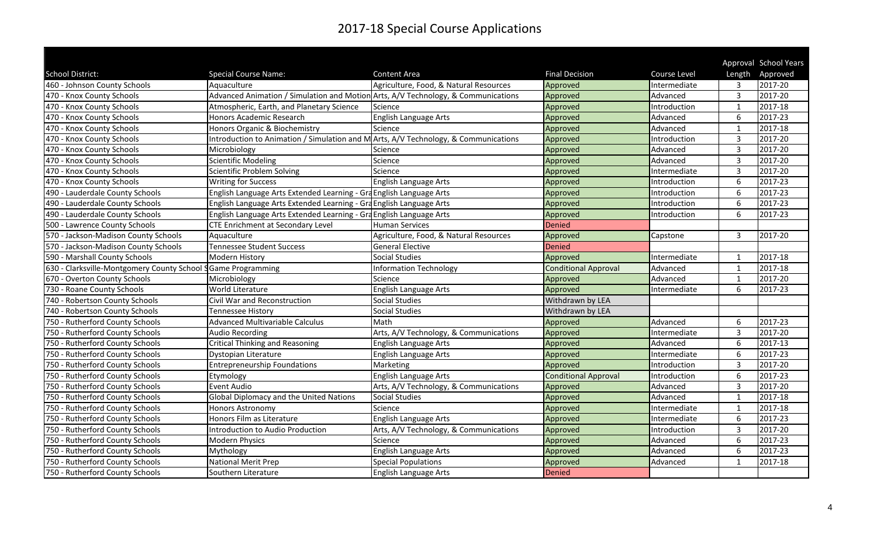|                                                              |                                                                                     |                                        |                             |              |                         | Approval School Years |
|--------------------------------------------------------------|-------------------------------------------------------------------------------------|----------------------------------------|-----------------------------|--------------|-------------------------|-----------------------|
| School District:                                             | <b>Special Course Name:</b>                                                         | Content Area                           | <b>Final Decision</b>       | Course Level | Length                  | Approved              |
| 460 - Johnson County Schools                                 | Aquaculture                                                                         | Agriculture, Food, & Natural Resources | Approved                    | Intermediate | 3                       | 2017-20               |
| 470 - Knox County Schools                                    | Advanced Animation / Simulation and Motion Arts, A/V Technology, & Communications   |                                        | Approved                    | Advanced     | $\overline{3}$          | 2017-20               |
| 470 - Knox County Schools                                    | Atmospheric, Earth, and Planetary Science                                           | Science                                | Approved                    | Introduction | $\mathbf{1}$            | 2017-18               |
| 470 - Knox County Schools                                    | Honors Academic Research                                                            | English Language Arts                  | Approved                    | Advanced     | 6                       | 2017-23               |
| 470 - Knox County Schools                                    | Honors Organic & Biochemistry                                                       | Science                                | Approved                    | Advanced     | $\mathbf{1}$            | 2017-18               |
| 470 - Knox County Schools                                    | Introduction to Animation / Simulation and M Arts, A/V Technology, & Communications |                                        | Approved                    | Introduction | 3                       | 2017-20               |
| 470 - Knox County Schools                                    | Microbiology                                                                        | Science                                | Approved                    | Advanced     | 3                       | 2017-20               |
| 470 - Knox County Schools                                    | <b>Scientific Modeling</b>                                                          | Science                                | Approved                    | Advanced     | $\overline{3}$          | 2017-20               |
| 470 - Knox County Schools                                    | Scientific Problem Solving                                                          | Science                                | Approved                    | Intermediate | $\overline{3}$          | 2017-20               |
| 470 - Knox County Schools                                    | <b>Writing for Success</b>                                                          | English Language Arts                  | Approved                    | Introduction | 6                       | 2017-23               |
| 490 - Lauderdale County Schools                              | English Language Arts Extended Learning - Gra English Language Arts                 |                                        | Approved                    | Introduction | 6                       | 2017-23               |
| 490 - Lauderdale County Schools                              | English Language Arts Extended Learning - Gra English Language Arts                 |                                        | Approved                    | Introduction | 6                       | 2017-23               |
| 490 - Lauderdale County Schools                              | English Language Arts Extended Learning - Gra English Language Arts                 |                                        | Approved                    | Introduction | 6                       | 2017-23               |
| 500 - Lawrence County Schools                                | <b>CTE Enrichment at Secondary Level</b>                                            | Human Services                         | Denied                      |              |                         |                       |
| 570 - Jackson-Madison County Schools                         | Aquaculture                                                                         | Agriculture, Food, & Natural Resources | Approved                    | Capstone     | 3                       | 2017-20               |
| 570 - Jackson-Madison County Schools                         | Tennessee Student Success                                                           | <b>General Elective</b>                | Denied                      |              |                         |                       |
| 590 - Marshall County Schools                                | Modern History                                                                      | <b>Social Studies</b>                  | Approved                    | Intermediate | -1                      | 2017-18               |
| 630 - Clarksville-Montgomery County School SGame Programming |                                                                                     | Information Technology                 | <b>Conditional Approval</b> | Advanced     | $\overline{1}$          | 2017-18               |
| 670 - Overton County Schools                                 | Microbiology                                                                        | Science                                | Approved                    | Advanced     | $\mathbf{1}$            | 2017-20               |
| 730 - Roane County Schools                                   | <b>World Literature</b>                                                             | English Language Arts                  | Approved                    | Intermediate | 6                       | 2017-23               |
| 740 - Robertson County Schools                               | Civil War and Reconstruction                                                        | <b>Social Studies</b>                  | Withdrawn by LEA            |              |                         |                       |
| 740 - Robertson County Schools                               | <b>Tennessee History</b>                                                            | <b>Social Studies</b>                  | Withdrawn by LEA            |              |                         |                       |
| 750 - Rutherford County Schools                              | <b>Advanced Multivariable Calculus</b>                                              | Math                                   | Approved                    | Advanced     | 6                       | 2017-23               |
| 750 - Rutherford County Schools                              | <b>Audio Recording</b>                                                              | Arts, A/V Technology, & Communications | Approved                    | Intermediate | $\overline{3}$          | 2017-20               |
| 750 - Rutherford County Schools                              | Critical Thinking and Reasoning                                                     | English Language Arts                  | Approved                    | Advanced     | 6                       | 2017-13               |
| 750 - Rutherford County Schools                              | Dystopian Literature                                                                | English Language Arts                  | Approved                    | Intermediate | 6                       | 2017-23               |
| 750 - Rutherford County Schools                              | <b>Entrepreneurship Foundations</b>                                                 | Marketing                              | Approved                    | Introduction | 3                       | 2017-20               |
| 750 - Rutherford County Schools                              | Etymology                                                                           | English Language Arts                  | <b>Conditional Approval</b> | Introduction | 6                       | 2017-23               |
| 750 - Rutherford County Schools                              | Event Audio                                                                         | Arts, A/V Technology, & Communications | Approved                    | Advanced     | $\overline{3}$          | 2017-20               |
| 750 - Rutherford County Schools                              | Global Diplomacy and the United Nations                                             | <b>Social Studies</b>                  | Approved                    | Advanced     | $\overline{\mathbf{1}}$ | 2017-18               |
| 750 - Rutherford County Schools                              | <b>Honors Astronomy</b>                                                             | Science                                | Approved                    | Intermediate | $\overline{1}$          | 2017-18               |
| 750 - Rutherford County Schools                              | Honors Film as Literature                                                           | English Language Arts                  | Approved                    | Intermediate | 6                       | 2017-23               |
| 750 - Rutherford County Schools                              | Introduction to Audio Production                                                    | Arts, A/V Technology, & Communications | Approved                    | Introduction | 3                       | 2017-20               |
| 750 - Rutherford County Schools                              | <b>Modern Physics</b>                                                               | Science                                | Approved                    | Advanced     | 6                       | 2017-23               |
| 750 - Rutherford County Schools                              | Mythology                                                                           | English Language Arts                  | Approved                    | Advanced     | 6                       | 2017-23               |
| 750 - Rutherford County Schools                              | <b>National Merit Prep</b>                                                          | <b>Special Populations</b>             | Approved                    | Advanced     | 1                       | 2017-18               |
| 750 - Rutherford County Schools                              | Southern Literature                                                                 | English Language Arts                  | <b>Denied</b>               |              |                         |                       |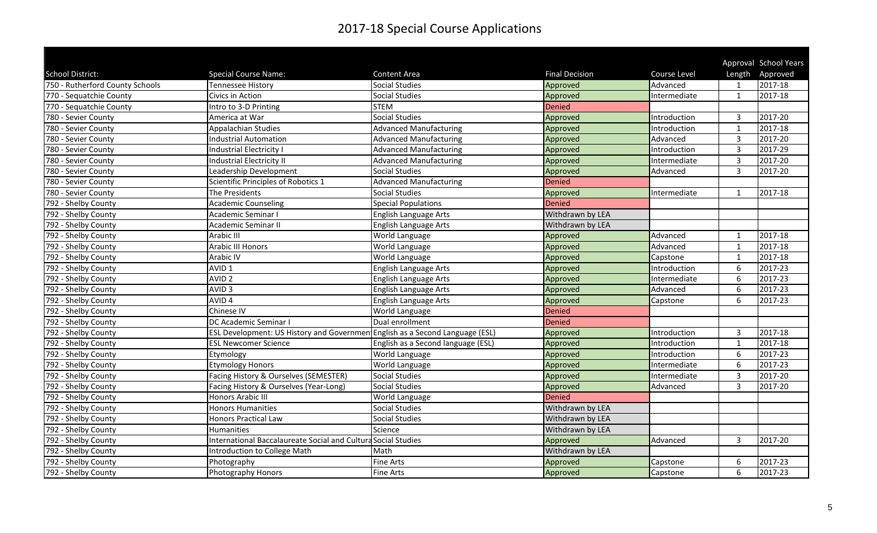|                                 |                                                                              |                                    |                       |              |                | Approval School Years |
|---------------------------------|------------------------------------------------------------------------------|------------------------------------|-----------------------|--------------|----------------|-----------------------|
| School District:                | <b>Special Course Name:</b>                                                  | <b>Content Area</b>                | <b>Final Decision</b> | Course Level | Length         | Approved              |
| 750 - Rutherford County Schools | <b>Tennessee History</b>                                                     | <b>Social Studies</b>              | Approved              | Advanced     |                | 2017-18               |
| 770 - Sequatchie County         | Civics in Action                                                             | <b>Social Studies</b>              | Approved              | Intermediate | $\mathbf{1}$   | 2017-18               |
| 770 - Sequatchie County         | Intro to 3-D Printing                                                        | <b>STEM</b>                        | Denied                |              |                |                       |
| 780 - Sevier County             | America at War                                                               | <b>Social Studies</b>              | Approved              | Introduction | 3              | 2017-20               |
| 780 - Sevier County             | Appalachian Studies                                                          | <b>Advanced Manufacturing</b>      | Approved              | Introduction | $\overline{1}$ | 2017-18               |
| 780 - Sevier County             | <b>Industrial Automation</b>                                                 | <b>Advanced Manufacturing</b>      | Approved              | Advanced     | $\overline{3}$ | 2017-20               |
| 780 - Sevier County             | Industrial Electricity I                                                     | <b>Advanced Manufacturing</b>      | Approved              | Introduction | 3              | 2017-29               |
| 780 - Sevier County             | <b>Industrial Electricity II</b>                                             | <b>Advanced Manufacturing</b>      | Approved              | Intermediate | 3              | 2017-20               |
| 780 - Sevier County             | Leadership Development                                                       | <b>Social Studies</b>              | Approved              | Advanced     | $\overline{3}$ | 2017-20               |
| 780 - Sevier County             | Scientific Principles of Robotics 1                                          | <b>Advanced Manufacturing</b>      | Denied                |              |                |                       |
| 780 - Sevier County             | The Presidents                                                               | <b>Social Studies</b>              | Approved              | Intermediate | 1              | 2017-18               |
| 792 - Shelby County             | <b>Academic Counseling</b>                                                   | <b>Special Populations</b>         | Denied                |              |                |                       |
| 792 - Shelby County             | Academic Seminar I                                                           | English Language Arts              | Withdrawn by LEA      |              |                |                       |
| 792 - Shelby County             | <b>Academic Seminar II</b>                                                   | English Language Arts              | Withdrawn by LEA      |              |                |                       |
| 792 - Shelby County             | <b>Arabic III</b>                                                            | World Language                     | Approved              | Advanced     | $\mathbf{1}$   | 2017-18               |
| 792 - Shelby County             | Arabic III Honors                                                            | World Language                     | Approved              | Advanced     | $\mathbf{1}$   | 2017-18               |
| 792 - Shelby County             | Arabic IV                                                                    | World Language                     | Approved              | Capstone     | $\mathbf{1}$   | 2017-18               |
| 792 - Shelby County             | AVID <sub>1</sub>                                                            | English Language Arts              | Approved              | Introduction | 6              | 2017-23               |
| 792 - Shelby County             | AVID <sub>2</sub>                                                            | English Language Arts              | Approved              | Intermediate | 6              | 2017-23               |
| 792 - Shelby County             | AVID <sub>3</sub>                                                            | English Language Arts              | Approved              | Advanced     | 6              | 2017-23               |
| 792 - Shelby County             | AVID <sub>4</sub>                                                            | English Language Arts              | Approved              | Capstone     | 6              | 2017-23               |
| 792 - Shelby County             | Chinese IV                                                                   | World Language                     | Denied                |              |                |                       |
| 792 - Shelby County             | DC Academic Seminar I                                                        | Dual enrollment                    | Denied                |              |                |                       |
| 792 - Shelby County             | ESL Development: US History and Governmen English as a Second Language (ESL) |                                    | Approved              | Introduction | 3              | 2017-18               |
| 792 - Shelby County             | <b>ESL Newcomer Science</b>                                                  | English as a Second language (ESL) | Approved              | Introduction | $\overline{1}$ | 2017-18               |
| 792 - Shelby County             | Etymology                                                                    | World Language                     | Approved              | Introduction | 6              | 2017-23               |
| 792 - Shelby County             | <b>Etymology Honors</b>                                                      | World Language                     | Approved              | Intermediate | 6              | 2017-23               |
| 792 - Shelby County             | Facing History & Ourselves (SEMESTER)                                        | <b>Social Studies</b>              | Approved              | Intermediate | $\overline{3}$ | 2017-20               |
| 792 - Shelby County             | Facing History & Ourselves (Year-Long)                                       | <b>Social Studies</b>              | Approved              | Advanced     | 3              | 2017-20               |
| 792 - Shelby County             | Honors Arabic III                                                            | World Language                     | Denied                |              |                |                       |
| 792 - Shelby County             | <b>Honors Humanities</b>                                                     | <b>Social Studies</b>              | Withdrawn by LEA      |              |                |                       |
| 792 - Shelby County             | <b>Honors Practical Law</b>                                                  | <b>Social Studies</b>              | Withdrawn by LEA      |              |                |                       |
| 792 - Shelby County             | <b>Humanities</b>                                                            | Science                            | Withdrawn by LEA      |              |                |                       |
| 792 - Shelby County             | International Baccalaureate Social and Cultura Social Studies                |                                    | Approved              | Advanced     | 3              | 2017-20               |
| 792 - Shelby County             | Introduction to College Math                                                 | Math                               | Withdrawn by LEA      |              |                |                       |
| 792 - Shelby County             | Photography                                                                  | <b>Fine Arts</b>                   | Approved              | Capstone     | 6              | 2017-23               |
| 792 - Shelby County             | Photography Honors                                                           | Fine Arts                          | Approved              | Capstone     | 6              | 2017-23               |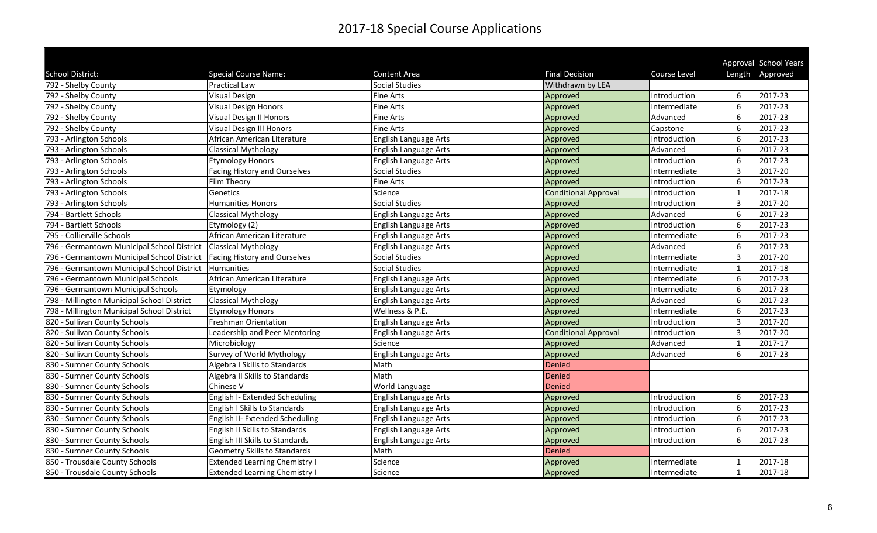|                                            |                                      |                       |                             |              |                         | Approval School Years |
|--------------------------------------------|--------------------------------------|-----------------------|-----------------------------|--------------|-------------------------|-----------------------|
| School District:                           | <b>Special Course Name:</b>          | <b>Content Area</b>   | <b>Final Decision</b>       | Course Level |                         | Length Approved       |
| 792 - Shelby County                        | <b>Practical Law</b>                 | <b>Social Studies</b> | Withdrawn by LEA            |              |                         |                       |
| 792 - Shelby County                        | <b>Visual Design</b>                 | <b>Fine Arts</b>      | Approved                    | Introduction | 6                       | 2017-23               |
| 792 - Shelby County                        | <b>Visual Design Honors</b>          | <b>Fine Arts</b>      | Approved                    | Intermediate | 6                       | 2017-23               |
| 792 - Shelby County                        | <b>Visual Design II Honors</b>       | <b>Fine Arts</b>      | Approved                    | Advanced     | 6                       | 2017-23               |
| 792 - Shelby County                        | Visual Design III Honors             | <b>Fine Arts</b>      | Approved                    | Capstone     | 6                       | 2017-23               |
| 793 - Arlington Schools                    | African American Literature          | English Language Arts | Approved                    | Introduction | 6                       | 2017-23               |
| 793 - Arlington Schools                    | <b>Classical Mythology</b>           | English Language Arts | Approved                    | Advanced     | 6                       | 2017-23               |
| 793 - Arlington Schools                    | <b>Etymology Honors</b>              | English Language Arts | Approved                    | Introduction | 6                       | 2017-23               |
| 793 - Arlington Schools                    | <b>Facing History and Ourselves</b>  | Social Studies        | Approved                    | Intermediate | 3                       | 2017-20               |
| 793 - Arlington Schools                    | Film Theory                          | <b>Fine Arts</b>      | Approved                    | Introduction | 6                       | 2017-23               |
| 793 - Arlington Schools                    | Genetics                             | Science               | <b>Conditional Approval</b> | Introduction | $\overline{1}$          | 2017-18               |
| 793 - Arlington Schools                    | <b>Humanities Honors</b>             | <b>Social Studies</b> | Approved                    | Introduction | $\overline{3}$          | 2017-20               |
| 794 - Bartlett Schools                     | <b>Classical Mythology</b>           | English Language Arts | Approved                    | Advanced     | 6                       | 2017-23               |
| 794 - Bartlett Schools                     | Etymology (2)                        | English Language Arts | Approved                    | Introduction | 6                       | 2017-23               |
| 795 - Collierville Schools                 | African American Literature          | English Language Arts | Approved                    | Intermediate | 6                       | 2017-23               |
| 796 - Germantown Municipal School District | <b>Classical Mythology</b>           | English Language Arts | Approved                    | Advanced     | 6                       | 2017-23               |
| 796 - Germantown Municipal School District | Facing History and Ourselves         | Social Studies        | Approved                    | Intermediate | 3                       | 2017-20               |
| 796 - Germantown Municipal School District | Humanities                           | <b>Social Studies</b> | Approved                    | Intermediate | $\overline{\mathbf{1}}$ | 2017-18               |
| 796 - Germantown Municipal Schools         | African American Literature          | English Language Arts | Approved                    | Intermediate | 6                       | 2017-23               |
| 796 - Germantown Municipal Schools         | Etymology                            | English Language Arts | Approved                    | Intermediate | 6                       | 2017-23               |
| 798 - Millington Municipal School District | <b>Classical Mythology</b>           | English Language Arts | Approved                    | Advanced     | 6                       | 2017-23               |
| 798 - Millington Municipal School District | <b>Etymology Honors</b>              | Wellness & P.E.       | Approved                    | Intermediate | 6                       | 2017-23               |
| 820 - Sullivan County Schools              | <b>Freshman Orientation</b>          | English Language Arts | Approved                    | Introduction | 3                       | 2017-20               |
| 820 - Sullivan County Schools              | Leadership and Peer Mentoring        | English Language Arts | <b>Conditional Approval</b> | Introduction | 3                       | 2017-20               |
| 820 - Sullivan County Schools              | Microbiology                         | Science               | Approved                    | Advanced     | -1                      | 2017-17               |
| 820 - Sullivan County Schools              | Survey of World Mythology            | English Language Arts | Approved                    | Advanced     | 6                       | 2017-23               |
| 830 - Sumner County Schools                | Algebra I Skills to Standards        | Math                  | Denied                      |              |                         |                       |
| 830 - Sumner County Schools                | Algebra II Skills to Standards       | Math                  | Denied                      |              |                         |                       |
| 830 - Sumner County Schools                | Chinese V                            | World Language        | Denied                      |              |                         |                       |
| 830 - Sumner County Schools                | English I- Extended Scheduling       | English Language Arts | Approved                    | Introduction | 6                       | 2017-23               |
| 830 - Sumner County Schools                | English I Skills to Standards        | English Language Arts | Approved                    | Introduction | 6                       | 2017-23               |
| 830 - Sumner County Schools                | English II- Extended Scheduling      | English Language Arts | Approved                    | Introduction | 6                       | 2017-23               |
| 830 - Sumner County Schools                | English II Skills to Standards       | English Language Arts | Approved                    | Introduction | 6                       | 2017-23               |
| 830 - Sumner County Schools                | English III Skills to Standards      | English Language Arts | Approved                    | Introduction | 6                       | 2017-23               |
| 830 - Sumner County Schools                | Geometry Skills to Standards         | Math                  | Denied                      |              |                         |                       |
| 850 - Trousdale County Schools             | <b>Extended Learning Chemistry I</b> | Science               | Approved                    | Intermediate | 1                       | 2017-18               |
| 850 - Trousdale County Schools             | <b>Extended Learning Chemistry I</b> | Science               | Approved                    | Intermediate | 1                       | 2017-18               |